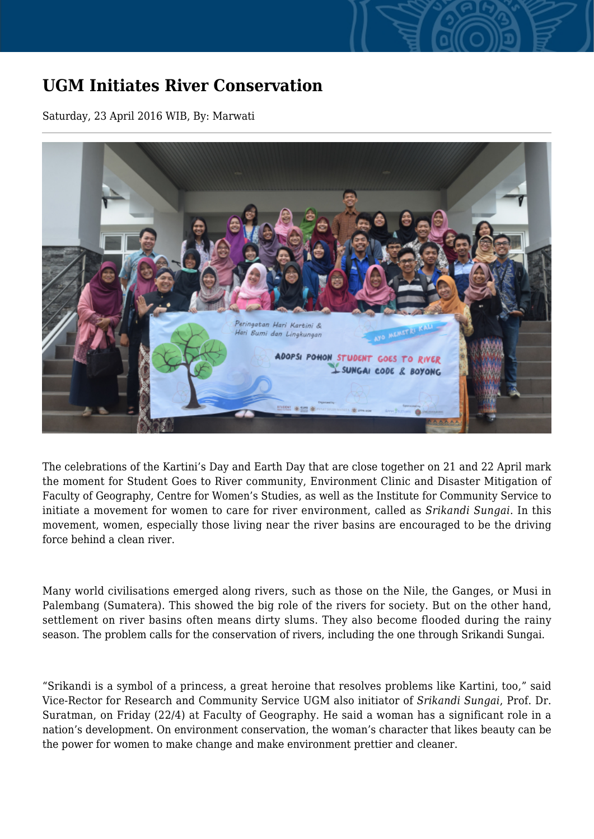## **UGM Initiates River Conservation**

Saturday, 23 April 2016 WIB, By: Marwati



The celebrations of the Kartini's Day and Earth Day that are close together on 21 and 22 April mark the moment for Student Goes to River community, Environment Clinic and Disaster Mitigation of Faculty of Geography, Centre for Women's Studies, as well as the Institute for Community Service to initiate a movement for women to care for river environment, called as *Srikandi Sungai*. In this movement, women, especially those living near the river basins are encouraged to be the driving force behind a clean river.

Many world civilisations emerged along rivers, such as those on the Nile, the Ganges, or Musi in Palembang (Sumatera). This showed the big role of the rivers for society. But on the other hand, settlement on river basins often means dirty slums. They also become flooded during the rainy season. The problem calls for the conservation of rivers, including the one through Srikandi Sungai.

"Srikandi is a symbol of a princess, a great heroine that resolves problems like Kartini, too," said Vice-Rector for Research and Community Service UGM also initiator of *Srikandi Sungai*, Prof. Dr. Suratman, on Friday (22/4) at Faculty of Geography. He said a woman has a significant role in a nation's development. On environment conservation, the woman's character that likes beauty can be the power for women to make change and make environment prettier and cleaner.